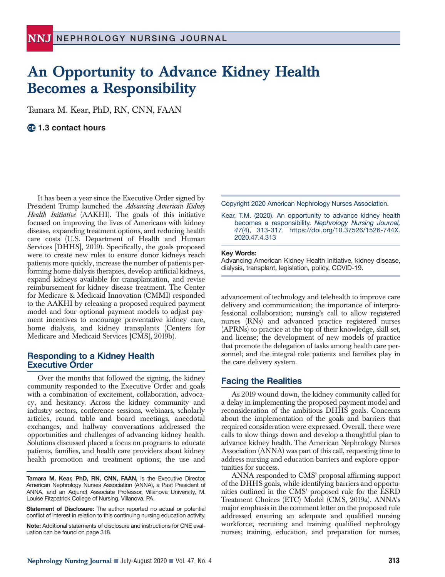# **An Opportunity to Advance Kidney Health Becomes a Responsibility**

Tamara M. Kear, PhD, RN, CNN, FAAN

**1.3 contact hours**

It has been a year since the Executive Order signed by President Trump launched the *Advancing American Kidney Health Initiative* (AAKHI). The goals of this initiative focused on improving the lives of Americans with kidney disease, expanding treatment options, and reducing health care costs (U.S. Department of Health and Human Services [DHHS], 2019). Specifically, the goals proposed were to create new rules to ensure donor kidneys reach patients more quickly, increase the number of patients performing home dialysis therapies, develop artificial kidneys, expand kidneys available for transplantation, and revise reimbursement for kidney disease treatment. The Center for Medicare & Medicaid Innovation (CMMI) responded to the AAKHI by releasing a proposed required payment model and four optional payment models to adjust payment incentives to encourage preventative kidney care, home dialysis, and kidney transplants (Centers for Medicare and Medicaid Services [CMS], 2019b).

### **Responding to a Kidney Health Executive Order**

Over the months that followed the signing, the kidney community responded to the Executive Order and goals with a combination of excitement, collaboration, advocacy, and hesitancy. Across the kidney community and industry sectors, conference sessions, webinars, scholarly articles, round table and board meetings, anecdotal exchanges, and hallway conversations addressed the opportunities and challenges of advancing kidney health. Solutions discussed placed a focus on programs to educate patients, families, and health care providers about kidney health promotion and treatment options; the use and

**Tamara M. Kear, PhD, RN, CNN, FAAN,** is the Executive Director, American Nephrology Nurses Association (ANNA), a Past President of ANNA, and an Adjunct Associate Professor, Villanova University, M. Louise Fitzpatrick College of Nursing, Villanova, PA.

**Statement of Disclosure:** The author reported no actual or potential conflict of interest in relation to this continuing nursing education activity.

**Note:** Additional statements of disclosure and instructions for CNE evaluation can be found on page 318.

Copyright 2020 American Nephrology Nurses Association.

Kear, T.M. (2020). An opportunity to advance kidney health becomes a responsibility. *Nephrology Nursing Journal, 47*(4), 313-317. https://doi.org/10.37526/1526-744X. 2020.47.4.313

#### **Key Words:**

Advancing American Kidney Health Initiative, kidney disease, dialysis, transplant, legislation, policy, COVID-19.

advancement of technology and telehealth to improve care delivery and communication; the importance of interprofessional collaboration; nursing's call to allow registered nurses (RNs) and advanced practice registered nurses (APRNs) to practice at the top of their knowledge, skill set, and license; the development of new models of practice that promote the delegation of tasks among health care personnel; and the integral role patients and families play in the care delivery system.

#### **Facing the Realities**

As 2019 wound down, the kidney community called for a delay in implementing the proposed payment model and reconsideration of the ambitious DHHS goals. Concerns about the implementation of the goals and barriers that required consideration were expressed. Overall, there were calls to slow things down and develop a thoughtful plan to advance kidney health. The American Nephrology Nurses Association (ANNA) was part of this call, requesting time to address nursing and education barriers and explore opportunities for success.

ANNA responded to CMS' proposal affirming support of the DHHS goals, while identifying barriers and opportunities outlined in the CMS' proposed rule for the ESRD Treatment Choices (ETC) Model (CMS, 2019a). ANNA's major emphasis in the comment letter on the proposed rule addressed ensuring an adequate and qualified nursing workforce; recruiting and training qualified nephrology nurses; training, education, and preparation for nurses,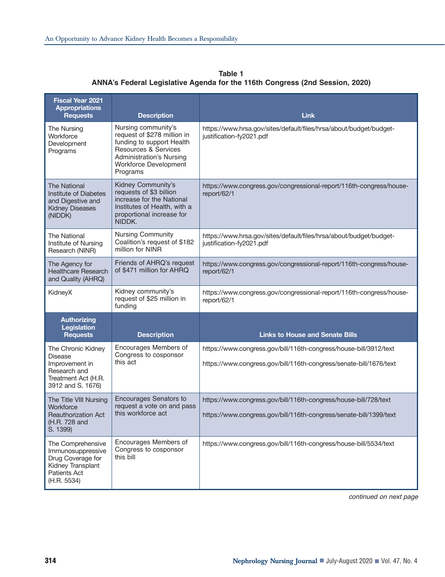| <b>Fiscal Year 2021</b><br><b>Appropriations</b><br><b>Requests</b>                                                | <b>Description</b>                                                                                                                                                                                | <b>Link</b>                                                                                                                            |
|--------------------------------------------------------------------------------------------------------------------|---------------------------------------------------------------------------------------------------------------------------------------------------------------------------------------------------|----------------------------------------------------------------------------------------------------------------------------------------|
| The Nursing<br>Workforce<br>Development<br>Programs                                                                | Nursing community's<br>request of \$278 million in<br>funding to support Health<br><b>Resources &amp; Services</b><br><b>Administration's Nursing</b><br><b>Workforce Development</b><br>Programs | https://www.hrsa.gov/sites/default/files/hrsa/about/budget/budget-<br>justification-fy2021.pdf                                         |
| <b>The National</b><br>Institute of Diabetes<br>and Digestive and<br><b>Kidney Diseases</b><br>(NIDDK)             | Kidney Community's<br>requests of \$3 billion<br>increase for the National<br>Institutes of Health, with a<br>proportional increase for<br>NIDDK.                                                 | https://www.congress.gov/congressional-report/116th-congress/house-<br>report/62/1                                                     |
| The National<br>Institute of Nursing<br>Research (NINR)                                                            | <b>Nursing Community</b><br>Coalition's request of \$182<br>million for NINR                                                                                                                      | https://www.hrsa.gov/sites/default/files/hrsa/about/budget/budget-<br>justification-fy2021.pdf                                         |
| The Agency for<br><b>Healthcare Research</b><br>and Quality (AHRQ)                                                 | Friends of AHRQ's request<br>of \$471 million for AHRQ                                                                                                                                            | https://www.congress.gov/congressional-report/116th-congress/house-<br>report/62/1                                                     |
| KidneyX                                                                                                            | Kidney community's<br>request of \$25 million in<br>funding                                                                                                                                       | https://www.congress.gov/congressional-report/116th-congress/house-<br>report/62/1                                                     |
| <b>Authorizing</b><br><b>Legislation</b><br><b>Requests</b>                                                        | <b>Description</b>                                                                                                                                                                                | <b>Links to House and Senate Bills</b>                                                                                                 |
| The Chronic Kidney<br><b>Disease</b><br>Improvement in<br>Research and<br>Treatment Act (H.R.<br>3912 and S. 1676) | Encourages Members of<br>Congress to cosponsor<br>this act                                                                                                                                        | https://www.congress.gov/bill/116th-congress/house-bill/3912/text                                                                      |
|                                                                                                                    |                                                                                                                                                                                                   | https://www.congress.gov/bill/116th-congress/senate-bill/1676/text                                                                     |
| The Title VIII Nursing<br>Workforce<br><b>Reauthorization Act</b><br>(H.R. 728 and<br>S. 1399)                     | <b>Encourages Senators to</b><br>request a vote on and pass<br>this workforce act                                                                                                                 | https://www.congress.gov/bill/116th-congress/house-bill/728/text<br>https://www.congress.gov/bill/116th-congress/senate-bill/1399/text |
| The Comprehensive<br>Immunosuppressive<br>Drug Coverage for<br>Kidney Transplant<br>Patients Act<br>(H.R. 5534)    | Encourages Members of<br>Congress to cosponsor<br>this bill                                                                                                                                       | https://www.congress.gov/bill/116th-congress/house-bill/5534/text                                                                      |

**Table 1 ANNA's Federal Legislative Agenda for the 116th Congress (2nd Session, 2020)**

continued on next page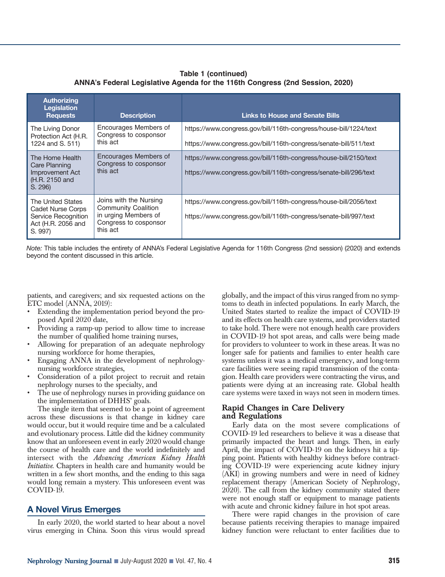## **Table 1 (continued) ANNA's Federal Legislative Agenda for the 116th Congress (2nd Session, 2020)**

| <b>Authorizing</b><br>Legislation<br><b>Requests</b>                                                  | <b>Description</b>                                                                                                | <b>Links to House and Senate Bills</b>                                                                                                 |
|-------------------------------------------------------------------------------------------------------|-------------------------------------------------------------------------------------------------------------------|----------------------------------------------------------------------------------------------------------------------------------------|
| The Living Donor<br>Protection Act (H.R.<br>1224 and S. 511)                                          | Encourages Members of<br>Congress to cosponsor<br>this act                                                        | https://www.congress.gov/bill/116th-congress/house-bill/1224/text<br>https://www.congress.gov/bill/116th-congress/senate-bill/511/text |
| The Home Health<br>Care Planning<br>Improvement Act<br>(H.R. 2150 and<br>S. 296)                      | Encourages Members of<br>Congress to cosponsor<br>this act                                                        | https://www.congress.gov/bill/116th-congress/house-bill/2150/text<br>https://www.congress.gov/bill/116th-congress/senate-bill/296/text |
| The United States<br><b>Cadet Nurse Corps</b><br>Service Recognition<br>Act (H.R. 2056 and<br>S. 997) | Joins with the Nursing<br><b>Community Coalition</b><br>in urging Members of<br>Congress to cosponsor<br>this act | https://www.congress.gov/bill/116th-congress/house-bill/2056/text<br>https://www.congress.gov/bill/116th-congress/senate-bill/997/text |

*Note:* This table includes the entirety of ANNA's Federal Legislative Agenda for 116th Congress (2nd session) (2020) and extends beyond the content discussed in this article.

patients, and caregivers; and six requested actions on the ETC model (ANNA, 2019):

- Extending the implementation period beyond the proposed April 2020 date,
- Providing a ramp-up period to allow time to increase the number of qualified home training nurses,
- Allowing for preparation of an adequate nephrology nursing workforce for home therapies,
- Engaging ANNA in the development of nephrologynursing workforce strategies,
- Consideration of a pilot project to recruit and retain nephrology nurses to the specialty, and
- The use of nephrology nurses in providing guidance on the implementation of DHHS' goals.

The single item that seemed to be a point of agreement across these discussions is that change in kidney care would occur, but it would require time and be a calculated and evolutionary process. Little did the kidney community know that an unforeseen event in early 2020 would change the course of health care and the world indefinitely and intersect with the *Advancing American Kidney Health Initiative*. Chapters in health care and humanity would be written in a few short months, and the ending to this saga would long remain a mystery. This unforeseen event was COVID-19.

#### **A Novel Virus Emerges**

In early 2020, the world started to hear about a novel virus emerging in China. Soon this virus would spread globally, and the impact of this virus ranged from no symptoms to death in infected populations. In early March, the United States started to realize the impact of COVID-19 and its effects on health care systems, and providers started to take hold. There were not enough health care providers in COVID-19 hot spot areas, and calls were being made for providers to volunteer to work in these areas. It was no longer safe for patients and families to enter health care systems unless it was a medical emergency, and long-term care facilities were seeing rapid transmission of the contagion. Health care providers were contracting the virus, and patients were dying at an increasing rate. Global health care systems were taxed in ways not seen in modern times.

#### **Rapid Changes in Care Delivery and Regulations**

Early data on the most severe complications of COVID-19 led researchers to believe it was a disease that primarily impacted the heart and lungs. Then, in early April, the impact of COVID-19 on the kidneys hit a tipping point. Patients with healthy kidneys before contracting COVID-19 were experiencing acute kidney injury (AKI) in growing numbers and were in need of kidney replacement therapy (American Society of Nephrology, 2020). The call from the kidney community stated there were not enough staff or equipment to manage patients with acute and chronic kidney failure in hot spot areas.

There were rapid changes in the provision of care because patients receiving therapies to manage impaired kidney function were reluctant to enter facilities due to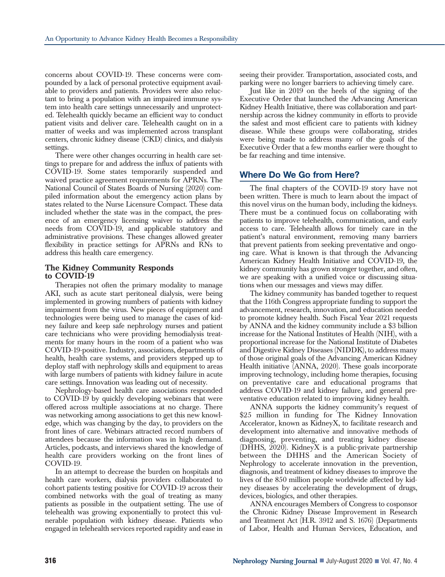concerns about COVID-19. These concerns were compounded by a lack of personal protective equipment available to providers and patients. Providers were also reluctant to bring a population with an impaired immune system into health care settings unnecessarily and unprotected. Telehealth quickly became an efficient way to conduct patient visits and deliver care. Telehealth caught on in a matter of weeks and was implemented across transplant centers, chronic kidney disease (CKD) clinics, and dialysis settings.

There were other changes occurring in health care settings to prepare for and address the influx of patients with COVID-19. Some states temporarily suspended and waived practice agreement requirements for APRNs. The National Council of States Boards of Nursing (2020) compiled information about the emergency action plans by states related to the Nurse Licensure Compact. These data included whether the state was in the compact, the presence of an emergency licensing waiver to address the needs from COVID-19, and applicable statutory and administrative provisions. These changes allowed greater flexibility in practice settings for APRNs and RNs to address this health care emergency.

### **The Kidney Community Responds to COVID-19**

Therapies not often the primary modality to manage AKI, such as acute start peritoneal dialysis, were being implemented in growing numbers of patients with kidney impairment from the virus. New pieces of equipment and technologies were being used to manage the cases of kidney failure and keep safe nephrology nurses and patient care technicians who were providing hemodialysis treatments for many hours in the room of a patient who was COVID-19-positive. Industry, associations, departments of health, health care systems, and providers stepped up to deploy staff with nephrology skills and equipment to areas with large numbers of patients with kidney failure in acute care settings. Innovation was leading out of necessity.

Nephrology-based health care associations responded to COVID-19 by quickly developing webinars that were offered across multiple associations at no charge. There was networking among associations to get this new knowledge, which was changing by the day, to providers on the front lines of care. Webinars attracted record numbers of attendees because the information was in high demand. Articles, podcasts, and interviews shared the knowledge of health care providers working on the front lines of COVID-19.

In an attempt to decrease the burden on hospitals and health care workers, dialysis providers collaborated to cohort patients testing positive for COVID-19 across their combined networks with the goal of treating as many patients as possible in the outpatient setting. The use of telehealth was growing exponentially to protect this vulnerable population with kidney disease. Patients who engaged in telehealth services reported rapidity and ease in

seeing their provider. Transportation, associated costs, and parking were no longer barriers to achieving timely care.

Just like in 2019 on the heels of the signing of the Executive Order that launched the Advancing American Kidney Health Initiative, there was collaboration and partnership across the kidney community in efforts to provide the safest and most efficient care to patients with kidney disease. While these groups were collaborating, strides were being made to address many of the goals of the Executive Order that a few months earlier were thought to be far reaching and time intensive.

# **Where Do We Go from Here?**

The final chapters of the COVID-19 story have not been written. There is much to learn about the impact of this novel virus on the human body, including the kidneys. There must be a continued focus on collaborating with patients to improve telehealth, communication, and early access to care. Telehealth allows for timely care in the patient's natural environment, removing many barriers that prevent patients from seeking preventative and ongoing care. What is known is that through the Advancing American Kidney Health Initiative and COVID-19, the kidney community has grown stronger together, and often, we are speaking with a unified voice or discussing situations when our messages and views may differ.

The kidney community has banded together to request that the 116th Congress appropriate funding to support the advancement, research, innovation, and education needed to promote kidney health. Such Fiscal Year 2021 requests by ANNA and the kidney community include a \$3 billion increase for the National Institutes of Health (NIH), with a proportional increase for the National Institute of Diabetes and Digestive Kidney Diseases (NIDDK), to address many of those original goals of the Advancing American Kidney Health initiative (ANNA, 2020). These goals incorporate improving technology, including home therapies, focusing on preventative care and educational programs that address COVID-19 and kidney failure, and general preventative education related to improving kidney health.

ANNA supports the kidney community's request of \$25 million in funding for The Kidney Innovation Accelerator, known as KidneyX, to facilitate research and development into alternative and innovative methods of diagnosing, preventing, and treating kidney disease (DHHS, 2020). KidneyX is a public-private partnership between the DHHS and the American Society of Nephrology to accelerate innovation in the prevention, diagnosis, and treatment of kidney diseases to improve the lives of the 850 million people worldwide affected by kidney diseases by accelerating the development of drugs, devices, biologics, and other therapies.

ANNA encourages Members of Congress to cosponsor the Chronic Kidney Disease Improvement in Research and Treatment Act (H.R. 3912 and S. 1676) (Departments of Labor, Health and Human Services, Education, and